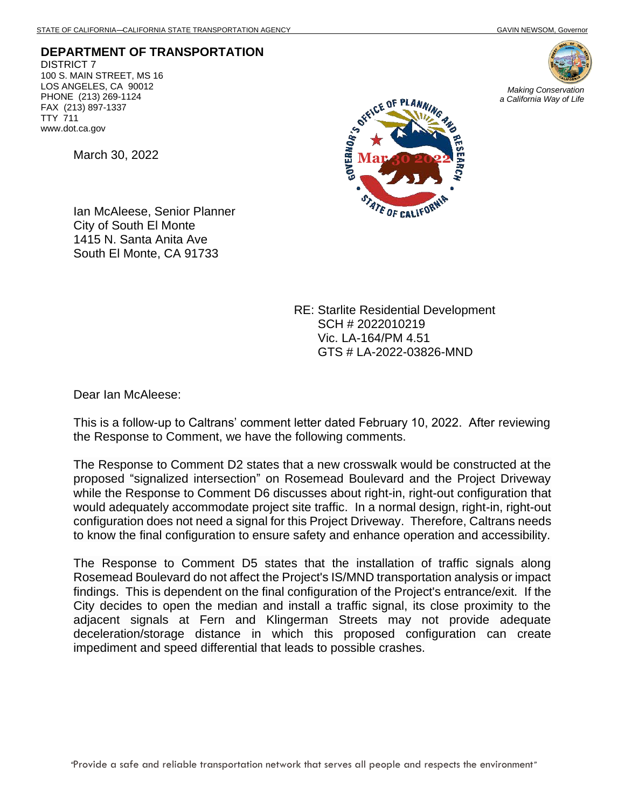**DEPARTMENT OF TRANSPORTATION** DISTRICT 7 100 S. MAIN STREET, MS 16 LOS ANGELES, CA 90012 PHONE (213) 269-1124 FAX (213) 897-1337 TTY 711 www.dot.ca.gov

March 30, 2022

Ian McAleese, Senior Planner City of South El Monte 1415 N. Santa Anita Ave South El Monte, CA 91733





RE: Starlite Residential Development SCH # 2022010219 Vic. LA-164/PM 4.51 GTS # LA-2022-03826-MND

Dear Ian McAleese:

This is a follow-up to Caltrans' comment letter dated February 10, 2022. After reviewing the Response to Comment, we have the following comments.

The Response to Comment D2 states that a new crosswalk would be constructed at the proposed "signalized intersection" on Rosemead Boulevard and the Project Driveway while the Response to Comment D6 discusses about right-in, right-out configuration that would adequately accommodate project site traffic. In a normal design, right-in, right-out configuration does not need a signal for this Project Driveway. Therefore, Caltrans needs to know the final configuration to ensure safety and enhance operation and accessibility.

The Response to Comment D5 states that the installation of traffic signals along Rosemead Boulevard do not affect the Project's IS/MND transportation analysis or impact findings. This is dependent on the final configuration of the Project's entrance/exit. If the City decides to open the median and install a traffic signal, its close proximity to the adjacent signals at Fern and Klingerman Streets may not provide adequate deceleration/storage distance in which this proposed configuration can create impediment and speed differential that leads to possible crashes.